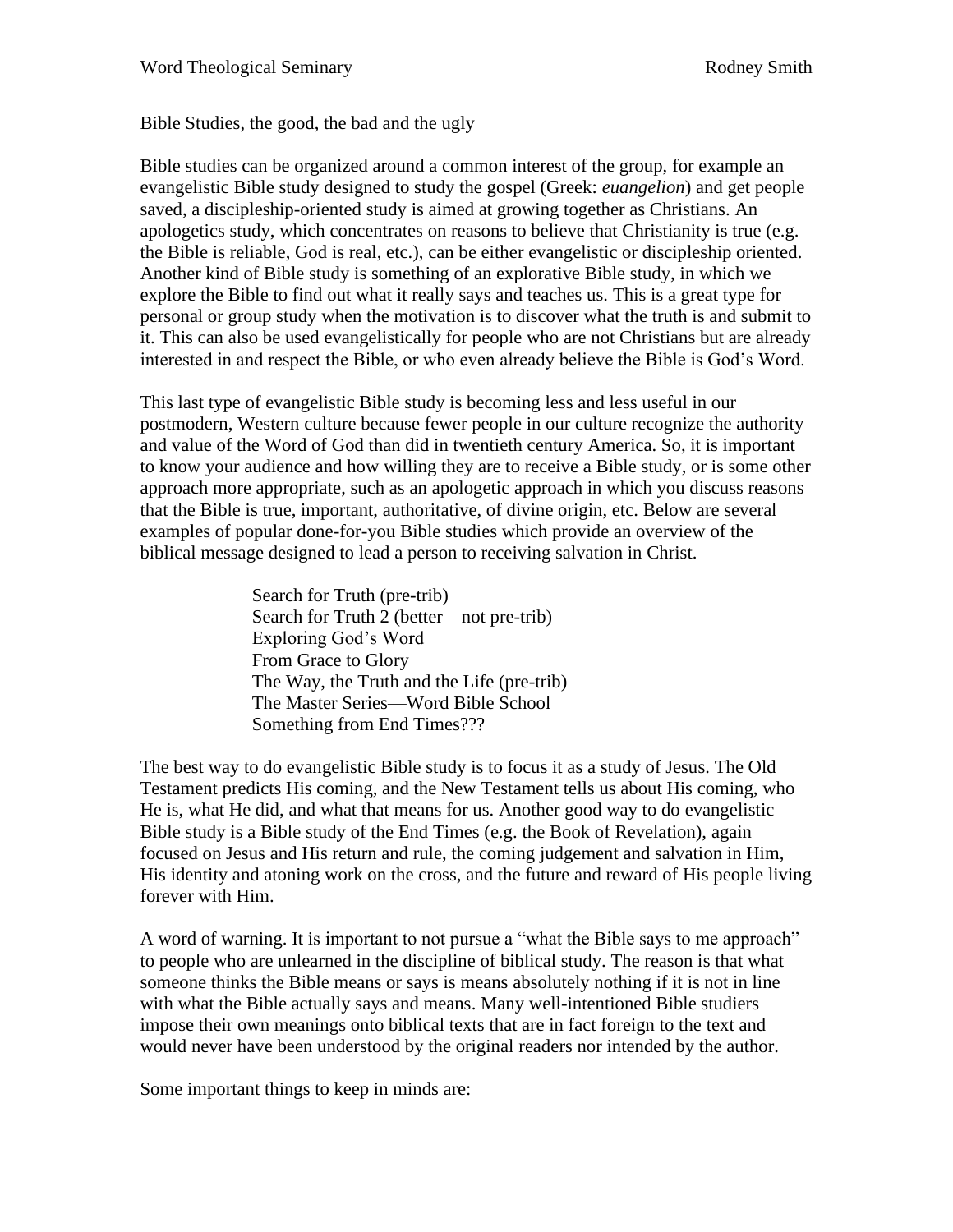Bible Studies, the good, the bad and the ugly

Bible studies can be organized around a common interest of the group, for example an evangelistic Bible study designed to study the gospel (Greek: *euangelion*) and get people saved, a discipleship-oriented study is aimed at growing together as Christians. An apologetics study, which concentrates on reasons to believe that Christianity is true (e.g. the Bible is reliable, God is real, etc.), can be either evangelistic or discipleship oriented. Another kind of Bible study is something of an explorative Bible study, in which we explore the Bible to find out what it really says and teaches us. This is a great type for personal or group study when the motivation is to discover what the truth is and submit to it. This can also be used evangelistically for people who are not Christians but are already interested in and respect the Bible, or who even already believe the Bible is God's Word.

This last type of evangelistic Bible study is becoming less and less useful in our postmodern, Western culture because fewer people in our culture recognize the authority and value of the Word of God than did in twentieth century America. So, it is important to know your audience and how willing they are to receive a Bible study, or is some other approach more appropriate, such as an apologetic approach in which you discuss reasons that the Bible is true, important, authoritative, of divine origin, etc. Below are several examples of popular done-for-you Bible studies which provide an overview of the biblical message designed to lead a person to receiving salvation in Christ.

> Search for Truth (pre-trib) Search for Truth 2 (better—not pre-trib) Exploring God's Word From Grace to Glory The Way, the Truth and the Life (pre-trib) The Master Series—Word Bible School Something from End Times???

The best way to do evangelistic Bible study is to focus it as a study of Jesus. The Old Testament predicts His coming, and the New Testament tells us about His coming, who He is, what He did, and what that means for us. Another good way to do evangelistic Bible study is a Bible study of the End Times (e.g. the Book of Revelation), again focused on Jesus and His return and rule, the coming judgement and salvation in Him, His identity and atoning work on the cross, and the future and reward of His people living forever with Him.

A word of warning. It is important to not pursue a "what the Bible says to me approach" to people who are unlearned in the discipline of biblical study. The reason is that what someone thinks the Bible means or says is means absolutely nothing if it is not in line with what the Bible actually says and means. Many well-intentioned Bible studiers impose their own meanings onto biblical texts that are in fact foreign to the text and would never have been understood by the original readers nor intended by the author.

Some important things to keep in minds are: